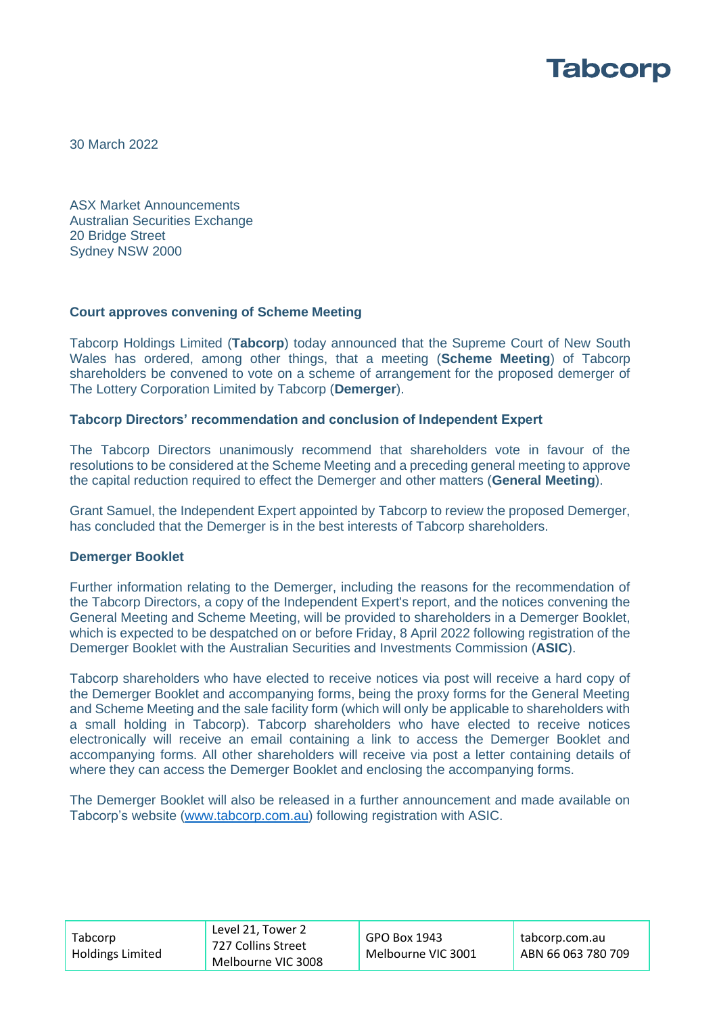

30 March 2022

ASX Market Announcements Australian Securities Exchange 20 Bridge Street Sydney NSW 2000

## **Court approves convening of Scheme Meeting**

Tabcorp Holdings Limited (**Tabcorp**) today announced that the Supreme Court of New South Wales has ordered, among other things, that a meeting (**Scheme Meeting**) of Tabcorp shareholders be convened to vote on a scheme of arrangement for the proposed demerger of The Lottery Corporation Limited by Tabcorp (**Demerger**).

## **Tabcorp Directors' recommendation and conclusion of Independent Expert**

The Tabcorp Directors unanimously recommend that shareholders vote in favour of the resolutions to be considered at the Scheme Meeting and a preceding general meeting to approve the capital reduction required to effect the Demerger and other matters (**General Meeting**).

Grant Samuel, the Independent Expert appointed by Tabcorp to review the proposed Demerger, has concluded that the Demerger is in the best interests of Tabcorp shareholders.

## **Demerger Booklet**

Further information relating to the Demerger, including the reasons for the recommendation of the Tabcorp Directors, a copy of the Independent Expert's report, and the notices convening the General Meeting and Scheme Meeting, will be provided to shareholders in a Demerger Booklet, which is expected to be despatched on or before Friday, 8 April 2022 following registration of the Demerger Booklet with the Australian Securities and Investments Commission (**ASIC**).

Tabcorp shareholders who have elected to receive notices via post will receive a hard copy of the Demerger Booklet and accompanying forms, being the proxy forms for the General Meeting and Scheme Meeting and the sale facility form (which will only be applicable to shareholders with a small holding in Tabcorp). Tabcorp shareholders who have elected to receive notices electronically will receive an email containing a link to access the Demerger Booklet and accompanying forms. All other shareholders will receive via post a letter containing details of where they can access the Demerger Booklet and enclosing the accompanying forms.

The Demerger Booklet will also be released in a further announcement and made available on Tabcorp's website [\(www.tabcorp.com.au\)](http://www.tabcorp.com.au/) following registration with ASIC.

| Tabcorp<br><b>Holdings Limited</b> | Level 21. Tower 2<br>727 Collins Street<br>Melbourne VIC 3008 | GPO Box 1943<br>Melbourne VIC 3001 | tabcorp.com.au<br>ABN 66 063 780 709 |
|------------------------------------|---------------------------------------------------------------|------------------------------------|--------------------------------------|
|------------------------------------|---------------------------------------------------------------|------------------------------------|--------------------------------------|